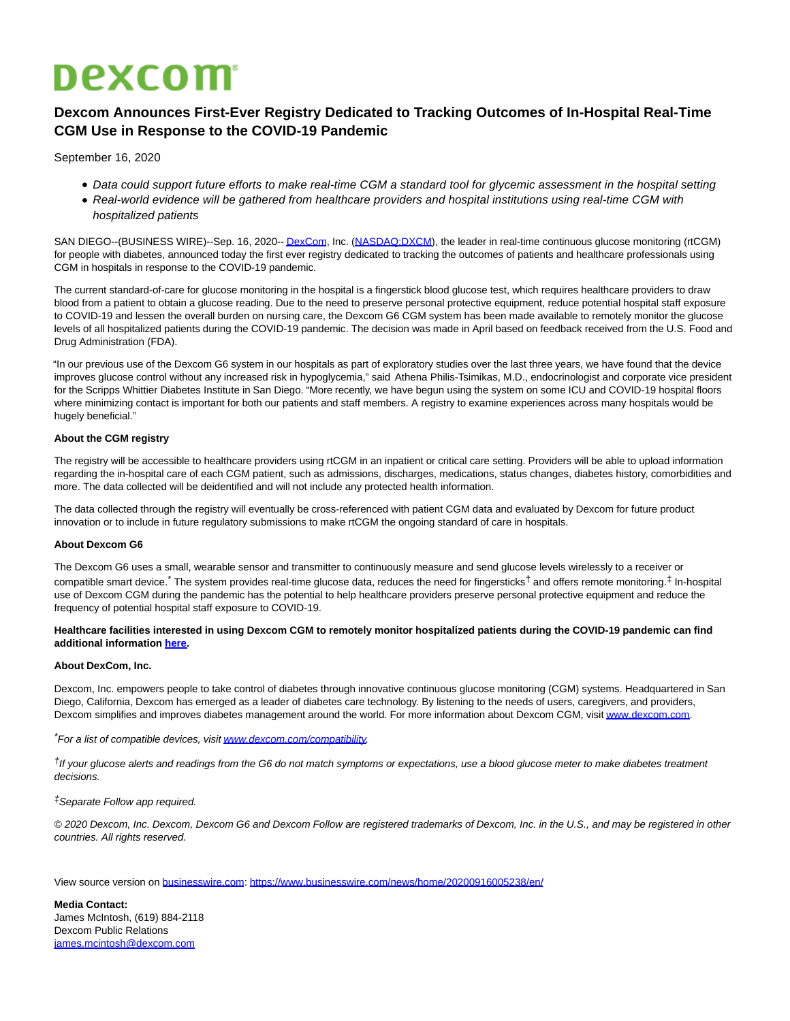# **Dexcom**

## **Dexcom Announces First-Ever Registry Dedicated to Tracking Outcomes of In-Hospital Real-Time CGM Use in Response to the COVID-19 Pandemic**

September 16, 2020

- Data could support future efforts to make real-time CGM a standard tool for glycemic assessment in the hospital setting
- Real-world evidence will be gathered from healthcare providers and hospital institutions using real-time CGM with hospitalized patients

SAN DIEGO--(BUSINESS WIRE)--Sep. 16, 2020-[- DexCom,](https://cts.businesswire.com/ct/CT?id=smartlink&url=https%3A%2F%2Fwww.dexcom.com%2F&esheet=52287571&newsitemid=20200916005238&lan=en-US&anchor=DexCom&index=1&md5=c8816599116ca762fb53e10c8ac40790) Inc. [\(NASDAQ:DXCM\),](https://cts.businesswire.com/ct/CT?id=smartlink&url=http%3A%2F%2Fwww.nasdaq.com%2Fsymbol%2Fdxcm&esheet=52287571&newsitemid=20200916005238&lan=en-US&anchor=NASDAQ%3ADXCM&index=2&md5=16b16a645c2ddf81515b6b173031d963) the leader in real-time continuous glucose monitoring (rtCGM) for people with diabetes, announced today the first ever registry dedicated to tracking the outcomes of patients and healthcare professionals using CGM in hospitals in response to the COVID-19 pandemic.

The current standard-of-care for glucose monitoring in the hospital is a fingerstick blood glucose test, which requires healthcare providers to draw blood from a patient to obtain a glucose reading. Due to the need to preserve personal protective equipment, reduce potential hospital staff exposure to COVID-19 and lessen the overall burden on nursing care, the Dexcom G6 CGM system has been made available to remotely monitor the glucose levels of all hospitalized patients during the COVID-19 pandemic. The decision was made in April based on feedback received from the U.S. Food and Drug Administration (FDA).

"In our previous use of the Dexcom G6 system in our hospitals as part of exploratory studies over the last three years, we have found that the device improves glucose control without any increased risk in hypoglycemia," said Athena Philis-Tsimikas, M.D., endocrinologist and corporate vice president for the Scripps Whittier Diabetes Institute in San Diego. "More recently, we have begun using the system on some ICU and COVID-19 hospital floors where minimizing contact is important for both our patients and staff members. A registry to examine experiences across many hospitals would be hugely beneficial."

#### **About the CGM registry**

The registry will be accessible to healthcare providers using rtCGM in an inpatient or critical care setting. Providers will be able to upload information regarding the in-hospital care of each CGM patient, such as admissions, discharges, medications, status changes, diabetes history, comorbidities and more. The data collected will be deidentified and will not include any protected health information.

The data collected through the registry will eventually be cross-referenced with patient CGM data and evaluated by Dexcom for future product innovation or to include in future regulatory submissions to make rtCGM the ongoing standard of care in hospitals.

#### **About Dexcom G6**

The Dexcom G6 uses a small, wearable sensor and transmitter to continuously measure and send glucose levels wirelessly to a receiver or compatible smart device.<sup>\*</sup> The system provides real-time glucose data, reduces the need for fingersticks<sup>†</sup> and offers remote monitoring.<sup>‡</sup> In-hospital use of Dexcom CGM during the pandemic has the potential to help healthcare providers preserve personal protective equipment and reduce the frequency of potential hospital staff exposure to COVID-19.

#### **Healthcare facilities interested in using Dexcom CGM to remotely monitor hospitalized patients during the COVID-19 pandemic can find additional information [here.](https://cts.businesswire.com/ct/CT?id=smartlink&url=https%3A%2F%2Fwww.dexcom.com%2Fhospitalcovid-19&esheet=52287571&newsitemid=20200916005238&lan=en-US&anchor=here&index=3&md5=a8d40f0a3e80f030babadf7d1aca7c31)**

#### **About DexCom, Inc.**

Dexcom, Inc. empowers people to take control of diabetes through innovative continuous glucose monitoring (CGM) systems. Headquartered in San Diego, California, Dexcom has emerged as a leader of diabetes care technology. By listening to the needs of users, caregivers, and providers, Dexcom simplifies and improves diabetes management around the world. For more information about Dexcom CGM, visi[t www.dexcom.com.](https://cts.businesswire.com/ct/CT?id=smartlink&url=http%3A%2F%2Fwww.dexcom.com&esheet=52287571&newsitemid=20200916005238&lan=en-US&anchor=www.dexcom.com&index=4&md5=e5aefc6db22d4ddf9f23407dc652f339)

\*For a list of compatible devices, visi[t www.dexcom.com/compatibility.](https://cts.businesswire.com/ct/CT?id=smartlink&url=http%3A%2F%2Fwww.dexcom.com%2Fcompatibility&esheet=52287571&newsitemid=20200916005238&lan=en-US&anchor=www.dexcom.com%2Fcompatibility&index=5&md5=1ad05240ad9f61f3e6033ce08c3100f6)

†If your glucose alerts and readings from the G6 do not match symptoms or expectations, use a blood glucose meter to make diabetes treatment decisions.

#### ‡Separate Follow app required.

© 2020 Dexcom, Inc. Dexcom, Dexcom G6 and Dexcom Follow are registered trademarks of Dexcom, Inc. in the U.S., and may be registered in other countries. All rights reserved.

View source version on [businesswire.com:](http://businesswire.com/)<https://www.businesswire.com/news/home/20200916005238/en/>

**Media Contact:** James McIntosh, (619) 884-2118 Dexcom Public Relations [james.mcintosh@dexcom.com](mailto:james.mcintosh@dexcom.com)